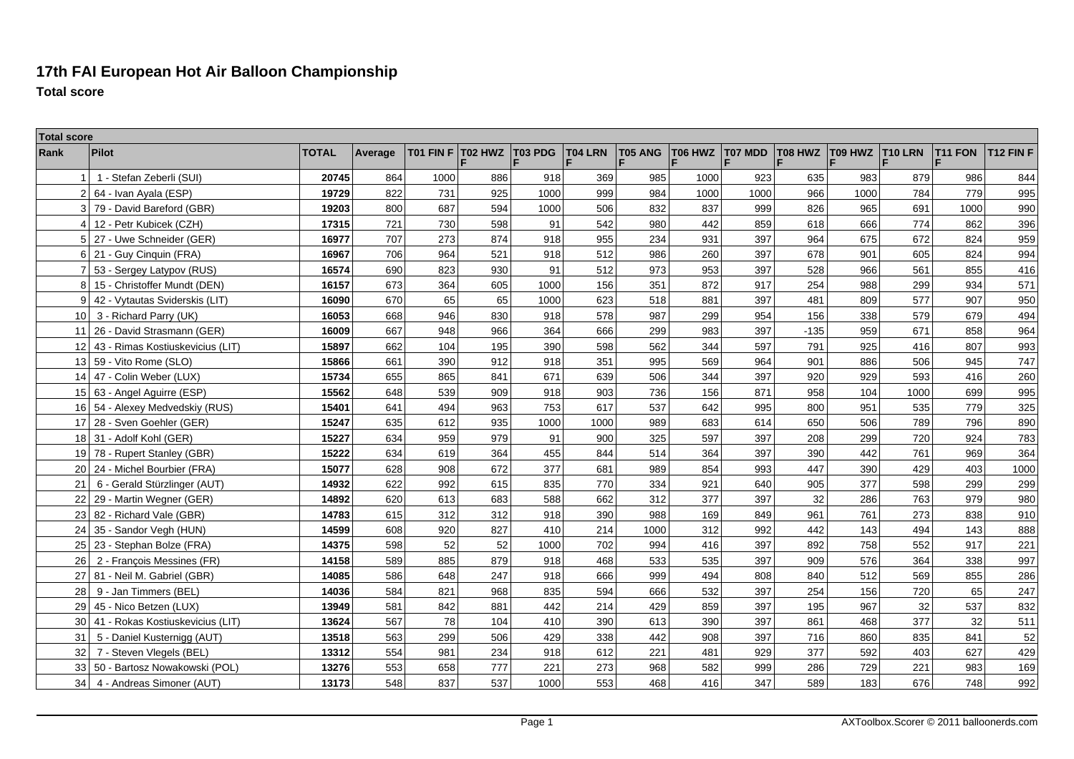## **17th FAI European Hot Air Balloon ChampionshipTotal score**

| <b>Total score</b> |                                  |              |         |           |         |         |         |                     |              |              |         |                        |      |                |                  |
|--------------------|----------------------------------|--------------|---------|-----------|---------|---------|---------|---------------------|--------------|--------------|---------|------------------------|------|----------------|------------------|
| Rank               | Pilot                            | <b>TOTAL</b> | Average | T01 FIN F | T02 HWZ | T03 PDG | T04 LRN | <b>T05 ANG</b><br>F | T06 HWZ<br>F | T07 MDD<br>Ē | T08 HWZ | <b>T09 HWZ T10 LRN</b> |      | <b>T11 FON</b> | <b>T12 FIN F</b> |
|                    | 1 - Stefan Zeberli (SUI)         | 20745        | 864     | 1000      | 886     | 918     | 369     | 985                 | 1000         | 923          | 635     | 983                    | 879  | 986            | 844              |
| $\overline{2}$     | 64 - Ivan Ayala (ESP)            | 19729        | 822     | 731       | 925     | 1000    | 999     | 984                 | 1000         | 1000         | 966     | 1000                   | 784  | 779            | 995              |
| 3                  | 79 - David Bareford (GBR)        | 19203        | 800     | 687       | 594     | 1000    | 506     | 832                 | 837          | 999          | 826     | 965                    | 691  | 1000           | 990              |
|                    | 12 - Petr Kubicek (CZH)          | 17315        | 721     | 730       | 598     | 91      | 542     | 980                 | 442          | 859          | 618     | 666                    | 774  | 862            | 396              |
|                    | 27 - Uwe Schneider (GER)         | 16977        | 707     | 273       | 874     | 918     | 955     | 234                 | 931          | 397          | 964     | 675                    | 672  | 824            | 959              |
| 6                  | 21 - Guy Cinquin (FRA)           | 16967        | 706     | 964       | 521     | 918     | 512     | 986                 | 260          | 397          | 678     | 901                    | 605  | 824            | 994              |
| $\overline{7}$     | 53 - Sergey Latypov (RUS)        | 16574        | 690     | 823       | 930     | 91      | 512     | 973                 | 953          | 397          | 528     | 966                    | 561  | 855            | 416              |
| 8                  | 15 - Christoffer Mundt (DEN)     | 16157        | 673     | 364       | 605     | 1000    | 156     | 351                 | 872          | 917          | 254     | 988                    | 299  | 934            | 571              |
| 9                  | 42 - Vytautas Sviderskis (LIT)   | 16090        | 670     | 65        | 65      | 1000    | 623     | 518                 | 881          | 397          | 481     | 809                    | 577  | 907            | 950              |
| 10                 | 3 - Richard Parry (UK)           | 16053        | 668     | 946       | 830     | 918     | 578     | 987                 | 299          | 954          | 156     | 338                    | 579  | 679            | 494              |
| 11                 | 26 - David Strasmann (GER)       | 16009        | 667     | 948       | 966     | 364     | 666     | 299                 | 983          | 397          | $-135$  | 959                    | 671  | 858            | 964              |
| 12                 | 43 - Rimas Kostiuskevicius (LIT) | 15897        | 662     | 104       | 195     | 390     | 598     | 562                 | 344          | 597          | 791     | 925                    | 416  | 807            | 993              |
| 13                 | 59 - Vito Rome (SLO)             | 15866        | 661     | 390       | 912     | 918     | 351     | 995                 | 569          | 964          | 901     | 886                    | 506  | 945            | 747              |
| 14 <sup>1</sup>    | 47 - Colin Weber (LUX)           | 15734        | 655     | 865       | 841     | 671     | 639     | 506                 | 344          | 397          | 920     | 929                    | 593  | 416            | 260              |
|                    | 15 63 - Angel Aguirre (ESP)      | 15562        | 648     | 539       | 909     | 918     | 903     | 736                 | 156          | 871          | 958     | 104                    | 1000 | 699            | 995              |
|                    | 16 54 - Alexey Medvedskiy (RUS)  | 15401        | 641     | 494       | 963     | 753     | 617     | 537                 | 642          | 995          | 800     | 951                    | 535  | 779            | 325              |
| 17 <sup>1</sup>    | 28 - Sven Goehler (GER)          | 15247        | 635     | 612       | 935     | 1000    | 1000    | 989                 | 683          | 614          | 650     | 506                    | 789  | 796            | 890              |
|                    | 18 31 - Adolf Kohl (GER)         | 15227        | 634     | 959       | 979     | 91      | 900     | 325                 | 597          | 397          | 208     | 299                    | 720  | 924            | 783              |
|                    | 19 78 - Rupert Stanley (GBR)     | 15222        | 634     | 619       | 364     | 455     | 844     | 514                 | 364          | 397          | 390     | 442                    | 761  | 969            | 364              |
| 20 <sub>1</sub>    | 24 - Michel Bourbier (FRA)       | 15077        | 628     | 908       | 672     | 377     | 681     | 989                 | 854          | 993          | 447     | 390                    | 429  | 403            | 1000             |
| 21                 | 6 - Gerald Stürzlinger (AUT)     | 14932        | 622     | 992       | 615     | 835     | 770     | 334                 | 921          | 640          | 905     | 377                    | 598  | 299            | 299              |
| 22                 | 29 - Martin Wegner (GER)         | 14892        | 620     | 613       | 683     | 588     | 662     | 312                 | 377          | 397          | 32      | 286                    | 763  | 979            | 980              |
| 23                 | 82 - Richard Vale (GBR)          | 14783        | 615     | 312       | 312     | 918     | 390     | 988                 | 169          | 849          | 961     | 761                    | 273  | 838            | 910              |
| 24                 | 35 - Sandor Vegh (HUN)           | 14599        | 608     | 920       | 827     | 410     | 214     | 1000                | 312          | 992          | 442     | 143                    | 494  | 143            | 888              |
| 25                 | 23 - Stephan Bolze (FRA)         | 14375        | 598     | 52        | 52      | 1000    | 702     | 994                 | 416          | 397          | 892     | 758                    | 552  | 917            | 221              |
| 26                 | 2 - François Messines (FR)       | 14158        | 589     | 885       | 879     | 918     | 468     | 533                 | 535          | 397          | 909     | 576                    | 364  | 338            | 997              |
| 27                 | 81 - Neil M. Gabriel (GBR)       | 14085        | 586     | 648       | 247     | 918     | 666     | 999                 | 494          | 808          | 840     | 512                    | 569  | 855            | 286              |
| 28                 | 9 - Jan Timmers (BEL)            | 14036        | 584     | 821       | 968     | 835     | 594     | 666                 | 532          | 397          | 254     | 156                    | 720  | 65             | 247              |
| 29                 | 45 - Nico Betzen (LUX)           | 13949        | 581     | 842       | 881     | 442     | 214     | 429                 | 859          | 397          | 195     | 967                    | 32   | 537            | 832              |
| 30                 | 41 - Rokas Kostiuskevicius (LIT) | 13624        | 567     | 78        | 104     | 410     | 390     | 613                 | 390          | 397          | 861     | 468                    | 377  | 32             | 511              |
| 31                 | 5 - Daniel Kusternigg (AUT)      | 13518        | 563     | 299       | 506     | 429     | 338     | 442                 | 908          | 397          | 716     | 860                    | 835  | 841            | 52               |
| 32                 | 7 - Steven Vlegels (BEL)         | 13312        | 554     | 981       | 234     | 918     | 612     | 221                 | 481          | 929          | 377     | 592                    | 403  | 627            | 429              |
| 33                 | 50 - Bartosz Nowakowski (POL)    | 13276        | 553     | 658       | 777     | 221     | 273     | 968                 | 582          | 999          | 286     | 729                    | 221  | 983            | 169              |
| 34                 | 4 - Andreas Simoner (AUT)        | 13173        | 548     | 837       | 537     | 1000    | 553     | 468                 | 416          | 347          | 589     | 183                    | 676  | 748            | 992              |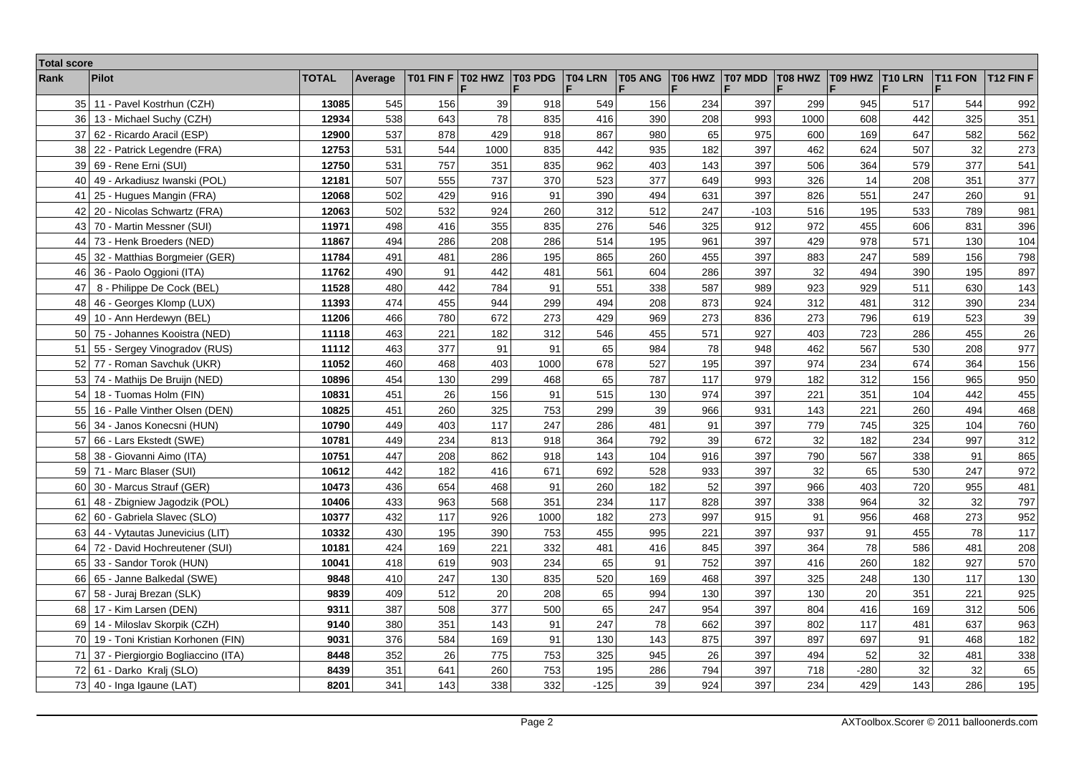| <b>Total score</b> |                                      |              |         |           |         |                |         |         |         |         |         |                 |     |                |                  |
|--------------------|--------------------------------------|--------------|---------|-----------|---------|----------------|---------|---------|---------|---------|---------|-----------------|-----|----------------|------------------|
| Rank               | <b>Pilot</b>                         | <b>TOTAL</b> | Average | T01 FIN F | T02 HWZ | <b>T03 PDG</b> | T04 LRN | T05 ANG | T06 HWZ | T07 MDD | T08 HWZ | T09 HWZ T10 LRN |     | <b>T11 FON</b> | <b>T12 FIN F</b> |
| 35 <sub>1</sub>    | 11 - Pavel Kostrhun (CZH)            | 13085        | 545     | 156       | 39      | 918            | 549     | 156     | 234     | 397     | 299     | 945             | 517 | 544            | 992              |
| 36                 | 13 - Michael Suchy (CZH)             | 12934        | 538     | 643       | 78      | 835            | 416     | 390     | 208     | 993     | 1000    | 608             | 442 | 325            | 351              |
| 37                 | 62 - Ricardo Aracil (ESP)            | 12900        | 537     | 878       | 429     | 918            | 867     | 980     | 65      | 975     | 600     | 169             | 647 | 582            | 562              |
| 38                 | 22 - Patrick Legendre (FRA)          | 12753        | 531     | 544       | 1000    | 835            | 442     | 935     | 182     | 397     | 462     | 624             | 507 | 32             | 273              |
| 39                 | 69 - Rene Erni (SUI)                 | 12750        | 531     | 757       | 351     | 835            | 962     | 403     | 143     | 397     | 506     | 364             | 579 | 377            | 541              |
| 40                 | 49 - Arkadiusz Iwanski (POL)         | 12181        | 507     | 555       | 737     | 370            | 523     | 377     | 649     | 993     | 326     | 14              | 208 | 351            | 377              |
| 41                 | 25 - Hugues Mangin (FRA)             | 12068        | 502     | 429       | 916     | 91             | 390     | 494     | 631     | 397     | 826     | 551             | 247 | 260            | 91               |
| 42                 | 20 - Nicolas Schwartz (FRA)          | 12063        | 502     | 532       | 924     | 260            | 312     | 512     | 247     | $-103$  | 516     | 195             | 533 | 789            | 981              |
| 43                 | 70 - Martin Messner (SUI)            | 11971        | 498     | 416       | 355     | 835            | 276     | 546     | 325     | 912     | 972     | 455             | 606 | 831            | 396              |
| 44                 | 73 - Henk Broeders (NED)             | 11867        | 494     | 286       | 208     | 286            | 514     | 195     | 961     | 397     | 429     | 978             | 571 | 130            | 104              |
| 45                 | 32 - Matthias Borgmeier (GER)        | 11784        | 491     | 481       | 286     | 195            | 865     | 260     | 455     | 397     | 883     | 247             | 589 | 156            | 798              |
| 46                 | 36 - Paolo Oggioni (ITA)             | 11762        | 490     | 91        | 442     | 481            | 561     | 604     | 286     | 397     | 32      | 494             | 390 | 195            | 897              |
| 47                 | 8 - Philippe De Cock (BEL)           | 11528        | 480     | 442       | 784     | 91             | 551     | 338     | 587     | 989     | 923     | 929             | 511 | 630            | 143              |
| 48                 | 46 - Georges Klomp (LUX)             | 11393        | 474     | 455       | 944     | 299            | 494     | 208     | 873     | 924     | 312     | 481             | 312 | 390            | 234              |
| 49                 | 10 - Ann Herdewyn (BEL)              | 11206        | 466     | 780       | 672     | 273            | 429     | 969     | 273     | 836     | 273     | 796             | 619 | 523            | 39               |
| 50                 | 75 - Johannes Kooistra (NED)         | 11118        | 463     | 221       | 182     | 312            | 546     | 455     | 571     | 927     | 403     | 723             | 286 | 455            | 26               |
| 51                 | 55 - Sergey Vinogradov (RUS)         | 11112        | 463     | 377       | 91      | 91             | 65      | 984     | 78      | 948     | 462     | 567             | 530 | 208            | 977              |
| 52                 | 77 - Roman Savchuk (UKR)             | 11052        | 460     | 468       | 403     | 1000           | 678     | 527     | 195     | 397     | 974     | 234             | 674 | 364            | 156              |
|                    | 53 74 - Mathijs De Bruijn (NED)      | 10896        | 454     | 130       | 299     | 468            | 65      | 787     | 117     | 979     | 182     | 312             | 156 | 965            | 950              |
| 54                 | 18 - Tuomas Holm (FIN)               | 10831        | 451     | 26        | 156     | 91             | 515     | 130     | 974     | 397     | 221     | 351             | 104 | 442            | 455              |
| 55                 | 16 - Palle Vinther Olsen (DEN)       | 10825        | 451     | 260       | 325     | 753            | 299     | 39      | 966     | 931     | 143     | 221             | 260 | 494            | 468              |
| 56                 | 34 - Janos Konecsni (HUN)            | 10790        | 449     | 403       | 117     | 247            | 286     | 481     | 91      | 397     | 779     | 745             | 325 | 104            | 760              |
| 57                 | 66 - Lars Ekstedt (SWE)              | 10781        | 449     | 234       | 813     | 918            | 364     | 792     | 39      | 672     | 32      | 182             | 234 | 997            | 312              |
| 58                 | 38 - Giovanni Aimo (ITA)             | 10751        | 447     | 208       | 862     | 918            | 143     | 104     | 916     | 397     | 790     | 567             | 338 | 91             | 865              |
| 59                 | 71 - Marc Blaser (SUI)               | 10612        | 442     | 182       | 416     | 671            | 692     | 528     | 933     | 397     | 32      | 65              | 530 | 247            | 972              |
| 60                 | 30 - Marcus Strauf (GER)             | 10473        | 436     | 654       | 468     | 91             | 260     | 182     | 52      | 397     | 966     | 403             | 720 | 955            | 481              |
| 61                 | 48 - Zbigniew Jagodzik (POL)         | 10406        | 433     | 963       | 568     | 351            | 234     | 117     | 828     | 397     | 338     | 964             | 32  | 32             | 797              |
| 62                 | 60 - Gabriela Slavec (SLO)           | 10377        | 432     | 117       | 926     | 1000           | 182     | 273     | 997     | 915     | 91      | 956             | 468 | 273            | 952              |
| 63                 | 44 - Vytautas Junevicius (LIT)       | 10332        | 430     | 195       | 390     | 753            | 455     | 995     | 221     | 397     | 937     | 91              | 455 | 78             | 117              |
| 64                 | 72 - David Hochreutener (SUI)        | 10181        | 424     | 169       | 221     | 332            | 481     | 416     | 845     | 397     | 364     | 78              | 586 | 481            | 208              |
| 65                 | 33 - Sandor Torok (HUN)              | 10041        | 418     | 619       | 903     | 234            | 65      | 91      | 752     | 397     | 416     | 260             | 182 | 927            | 570              |
| 66                 | 65 - Janne Balkedal (SWE)            | 9848         | 410     | 247       | 130     | 835            | 520     | 169     | 468     | 397     | 325     | 248             | 130 | 117            | 130              |
| 67                 | 58 - Juraj Brezan (SLK)              | 9839         | 409     | 512       | 20      | 208            | 65      | 994     | 130     | 397     | 130     | 20              | 351 | 221            | 925              |
| 68                 | 17 - Kim Larsen (DEN)                | 9311         | 387     | 508       | 377     | 500            | 65      | 247     | 954     | 397     | 804     | 416             | 169 | 312            | 506              |
| 69                 | 14 - Miloslav Skorpik (CZH)          | 9140         | 380     | 351       | 143     | 91             | 247     | 78      | 662     | 397     | 802     | 117             | 481 | 637            | 963              |
|                    | 70 19 - Toni Kristian Korhonen (FIN) | 9031         | 376     | 584       | 169     | 91             | 130     | 143     | 875     | 397     | 897     | 697             | 91  | 468            | 182              |
| 71                 | 37 - Piergiorgio Bogliaccino (ITA)   | 8448         | 352     | 26        | 775     | 753            | 325     | 945     | 26      | 397     | 494     | 52              | 32  | 481            | 338              |
|                    | 72 61 - Darko Kralj (SLO)            | 8439         | 351     | 641       | 260     | 753            | 195     | 286     | 794     | 397     | 718     | $-280$          | 32  | 32             | 65               |
|                    | 73 40 - Inga Igaune (LAT)            | 8201         | 341     | 143       | 338     | 332            | $-125$  | 39      | 924     | 397     | 234     | 429             | 143 | 286            | 195              |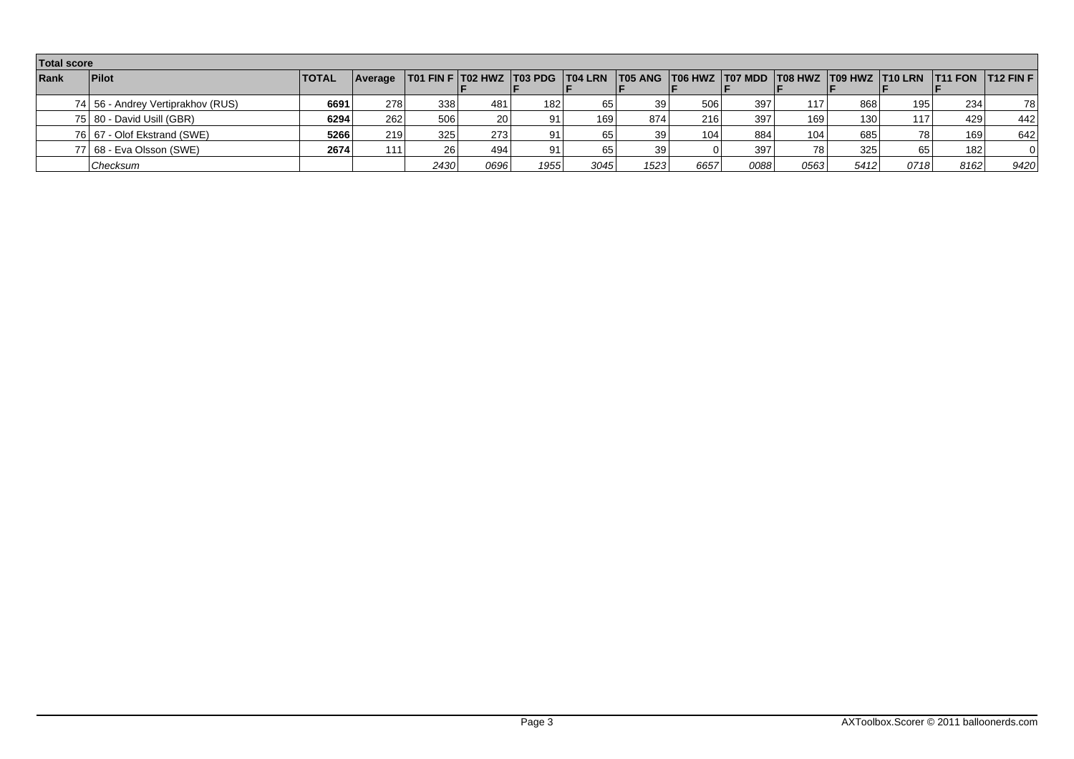|      | <b>Total score</b>                  |              |         |                  |           |      |                  |                 |      |      |      |                  |                                                                                                     |      |          |
|------|-------------------------------------|--------------|---------|------------------|-----------|------|------------------|-----------------|------|------|------|------------------|-----------------------------------------------------------------------------------------------------|------|----------|
| Rank | <b>Pilot</b>                        | <b>TOTAL</b> | Average |                  |           |      |                  |                 |      |      |      |                  | T01 FIN F T02 HWZ T03 PDG T04 LRN T05 ANG T06 HWZ T07 MDD T08 HWZ T09 HWZ T10 LRN T11 FON T12 FIN F |      |          |
|      | 74   56 - Andrey Vertiprakhov (RUS) | 6691         | 278     | 338              | 481       | 182  | 65               | 39              | 506  | 397  | 117  | 868              | 195 <sup>1</sup>                                                                                    | 234  | 78       |
|      | 75 80 - David Usill (GBR)           | 6294         | 262     | 506              | <b>20</b> | 91   | 169 <sub>1</sub> | 874             | 216  | 397  | 169  | 130 <sup>1</sup> | 117                                                                                                 | 429  | 442      |
|      | 76 67 - Olof Ekstrand (SWE)         | 5266         | 219     | 325 <sub>1</sub> | 273       | 91   | 65               | 39 I            | 104  | 884  | 104  | 685              | 78 I                                                                                                | 169  | 642      |
|      | 77   68 - Eva Olsson (SWE)          | 2674         | 111     | 26               | 494       | 91   | 65               | 39 <sub>1</sub> |      | 397  | 781  | 325              | 65 l                                                                                                | 182  | $\Omega$ |
|      | Checksum                            |              |         | 2430             | 0696      | 1955 | 3045             | 1523            | 6657 | 0088 | 0563 | 5412             | 0718                                                                                                | 8162 | 9420     |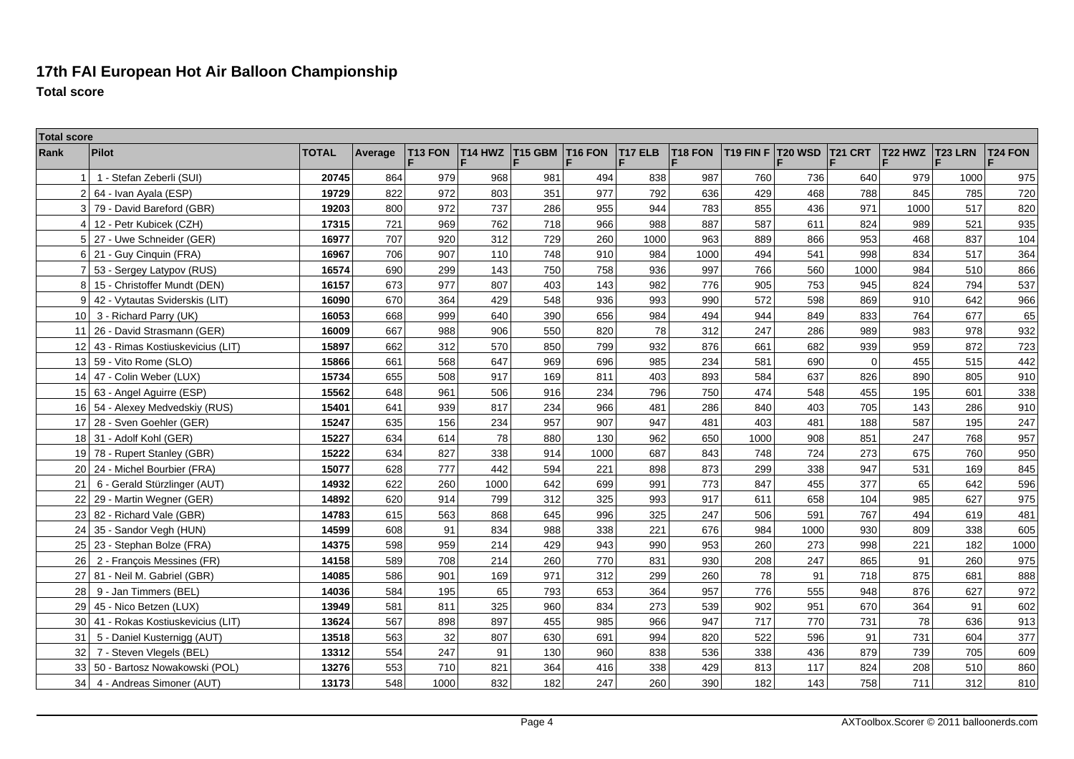## **17th FAI European Hot Air Balloon ChampionshipTotal score**

| <b>Total score</b> |                                  |              |         |              |                |                |                |                |         |           |                |                |         |                |                |
|--------------------|----------------------------------|--------------|---------|--------------|----------------|----------------|----------------|----------------|---------|-----------|----------------|----------------|---------|----------------|----------------|
| Rank               | <b>Pilot</b>                     | <b>TOTAL</b> | Average | T13 FON<br>F | <b>T14 HWZ</b> | <b>T15 GBM</b> | <b>T16 FON</b> | <b>T17 ELB</b> | T18 FON | T19 FIN F | <b>T20 WSD</b> | <b>T21 CRT</b> | T22 HWZ | <b>T23 LRN</b> | <b>T24 FON</b> |
|                    | 1 - Stefan Zeberli (SUI)         | 20745        | 864     | 979          | 968            | 981            | 494            | 838            | 987     | 760       | 736            | 640            | 979     | 1000           | 975            |
| $\overline{2}$     | 64 - Ivan Ayala (ESP)            | 19729        | 822     | 972          | 803            | 351            | 977            | 792            | 636     | 429       | 468            | 788            | 845     | 785            | 720            |
|                    | 3 79 - David Bareford (GBR)      | 19203        | 800     | 972          | 737            | 286            | 955            | 944            | 783     | 855       | 436            | 971            | 1000    | 517            | 820            |
| 4                  | 12 - Petr Kubicek (CZH)          | 17315        | 721     | 969          | 762            | 718            | 966            | 988            | 887     | 587       | 611            | 824            | 989     | 521            | 935            |
| 5                  | 27 - Uwe Schneider (GER)         | 16977        | 707     | 920          | 312            | 729            | 260            | 1000           | 963     | 889       | 866            | 953            | 468     | 837            | 104            |
| 6                  | 21 - Guy Cinquin (FRA)           | 16967        | 706     | 907          | 110            | 748            | 910            | 984            | 1000    | 494       | 541            | 998            | 834     | 517            | 364            |
| $\overline{7}$     | 53 - Sergey Latypov (RUS)        | 16574        | 690     | 299          | 143            | 750            | 758            | 936            | 997     | 766       | 560            | 1000           | 984     | 510            | 866            |
| 8                  | 15 - Christoffer Mundt (DEN)     | 16157        | 673     | 977          | 807            | 403            | 143            | 982            | 776     | 905       | 753            | 945            | 824     | 794            | 537            |
| 9                  | 42 - Vytautas Sviderskis (LIT)   | 16090        | 670     | 364          | 429            | 548            | 936            | 993            | 990     | 572       | 598            | 869            | 910     | 642            | 966            |
| 10                 | 3 - Richard Parry (UK)           | 16053        | 668     | 999          | 640            | 390            | 656            | 984            | 494     | 944       | 849            | 833            | 764     | 677            | 65             |
| 11                 | 26 - David Strasmann (GER)       | 16009        | 667     | 988          | 906            | 550            | 820            | 78             | 312     | 247       | 286            | 989            | 983     | 978            | 932            |
| 12                 | 43 - Rimas Kostiuskevicius (LIT) | 15897        | 662     | 312          | 570            | 850            | 799            | 932            | 876     | 661       | 682            | 939            | 959     | 872            | 723            |
| 13                 | 59 - Vito Rome (SLO)             | 15866        | 661     | 568          | 647            | 969            | 696            | 985            | 234     | 581       | 690            | $\mathbf 0$    | 455     | 515            | 442            |
| 14                 | 47 - Colin Weber (LUX)           | 15734        | 655     | 508          | 917            | 169            | 811            | 403            | 893     | 584       | 637            | 826            | 890     | 805            | 910            |
|                    | 15 63 - Angel Aguirre (ESP)      | 15562        | 648     | 961          | 506            | 916            | 234            | 796            | 750     | 474       | 548            | 455            | 195     | 601            | 338            |
|                    | 16 54 - Alexey Medvedskiy (RUS)  | 15401        | 641     | 939          | 817            | 234            | 966            | 481            | 286     | 840       | 403            | 705            | 143     | 286            | 910            |
| 17 <sup>1</sup>    | 28 - Sven Goehler (GER)          | 15247        | 635     | 156          | 234            | 957            | 907            | 947            | 481     | 403       | 481            | 188            | 587     | 195            | 247            |
|                    | 18 31 - Adolf Kohl (GER)         | 15227        | 634     | 614          | 78             | 880            | 130            | 962            | 650     | 1000      | 908            | 851            | 247     | 768            | 957            |
|                    | 19 78 - Rupert Stanley (GBR)     | 15222        | 634     | 827          | 338            | 914            | 1000           | 687            | 843     | 748       | 724            | 273            | 675     | 760            | 950            |
| 20                 | 24 - Michel Bourbier (FRA)       | 15077        | 628     | 777          | 442            | 594            | 221            | 898            | 873     | 299       | 338            | 947            | 531     | 169            | 845            |
| 21                 | 6 - Gerald Stürzlinger (AUT)     | 14932        | 622     | 260          | 1000           | 642            | 699            | 991            | 773     | 847       | 455            | 377            | 65      | 642            | 596            |
| 22                 | 29 - Martin Wegner (GER)         | 14892        | 620     | 914          | 799            | 312            | 325            | 993            | 917     | 611       | 658            | 104            | 985     | 627            | 975            |
| 23                 | 82 - Richard Vale (GBR)          | 14783        | 615     | 563          | 868            | 645            | 996            | 325            | 247     | 506       | 591            | 767            | 494     | 619            | 481            |
| 24                 | 35 - Sandor Vegh (HUN)           | 14599        | 608     | 91           | 834            | 988            | 338            | 221            | 676     | 984       | 1000           | 930            | 809     | 338            | 605            |
| 25                 | 23 - Stephan Bolze (FRA)         | 14375        | 598     | 959          | 214            | 429            | 943            | 990            | 953     | 260       | 273            | 998            | 221     | 182            | 1000           |
| 26                 | 2 - François Messines (FR)       | 14158        | 589     | 708          | 214            | 260            | 770            | 831            | 930     | 208       | 247            | 865            | 91      | 260            | 975            |
| 27                 | 81 - Neil M. Gabriel (GBR)       | 14085        | 586     | 901          | 169            | 971            | 312            | 299            | 260     | 78        | 91             | 718            | 875     | 681            | 888            |
| 28                 | 9 - Jan Timmers (BEL)            | 14036        | 584     | 195          | 65             | 793            | 653            | 364            | 957     | 776       | 555            | 948            | 876     | 627            | 972            |
| 29                 | 45 - Nico Betzen (LUX)           | 13949        | 581     | 811          | 325            | 960            | 834            | 273            | 539     | 902       | 951            | 670            | 364     | 91             | 602            |
| 30                 | 41 - Rokas Kostiuskevicius (LIT) | 13624        | 567     | 898          | 897            | 455            | 985            | 966            | 947     | 717       | 770            | 731            | 78      | 636            | 913            |
| 31                 | 5 - Daniel Kusternigg (AUT)      | 13518        | 563     | 32           | 807            | 630            | 691            | 994            | 820     | 522       | 596            | 91             | 731     | 604            | 377            |
| 32                 | 7 - Steven Vlegels (BEL)         | 13312        | 554     | 247          | 91             | 130            | 960            | 838            | 536     | 338       | 436            | 879            | 739     | 705            | 609            |
| 33                 | 50 - Bartosz Nowakowski (POL)    | 13276        | 553     | 710          | 821            | 364            | 416            | 338            | 429     | 813       | 117            | 824            | 208     | 510            | 860            |
| 34                 | 4 - Andreas Simoner (AUT)        | 13173        | 548     | 1000         | 832            | 182            | 247            | 260            | 390     | 182       | 143            | 758            | 711     | 312            | 810            |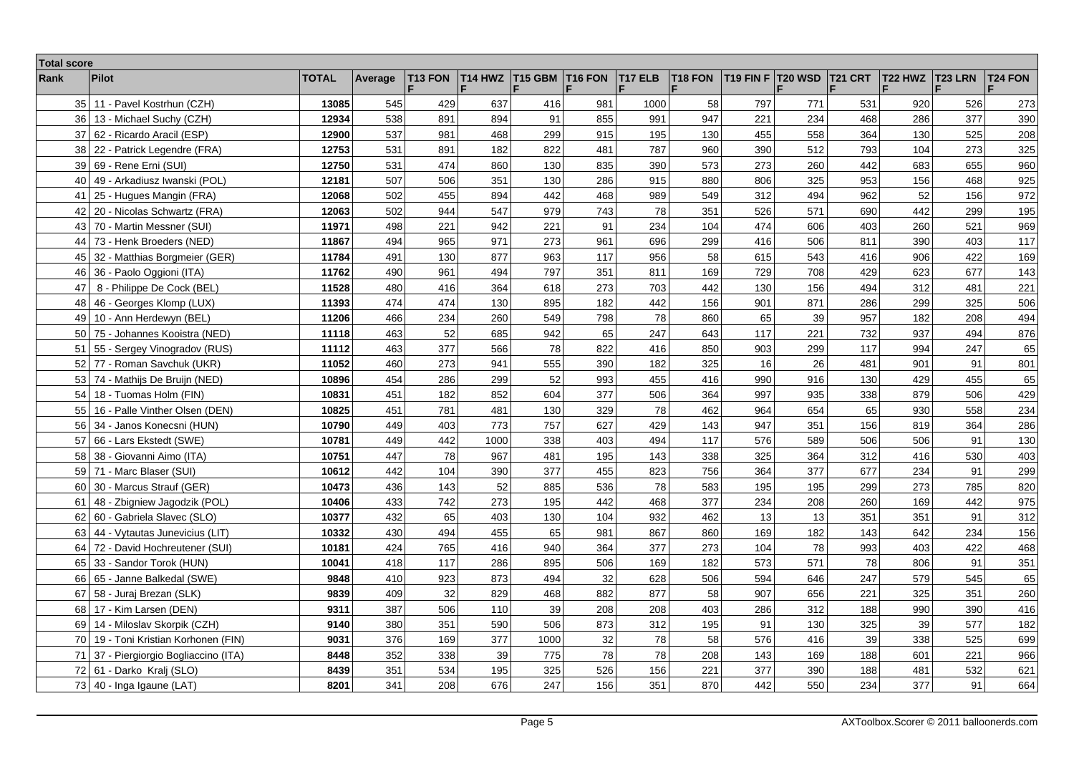| <b>Total score</b> |                                    |              |         |         |         |         |                     |         |                     |                       |                |                  |         |                |         |
|--------------------|------------------------------------|--------------|---------|---------|---------|---------|---------------------|---------|---------------------|-----------------------|----------------|------------------|---------|----------------|---------|
| Rank               | <b>Pilot</b>                       | <b>TOTAL</b> | Average | T13 FON | T14 HWZ | T15 GBM | T <sub>16</sub> FON | T17 ELB | T <sub>18</sub> FON | T <sub>19</sub> FIN F | <b>T20 WSD</b> | T21 CRT          | T22 HWZ | <b>T23 LRN</b> | T24 FON |
| 35 <sub>1</sub>    | 11 - Pavel Kostrhun (CZH)          | 13085        | 545     | 429     | 637     | 416     | 981                 | 1000    | 58                  | 797                   | 771            | 531              | 920     | 526            | 273     |
| 36                 | 13 - Michael Suchy (CZH)           | 12934        | 538     | 891     | 894     | 91      | 855                 | 991     | 947                 | 221                   | 234            | 468              | 286     | 377            | 390     |
| 37                 | 62 - Ricardo Aracil (ESP)          | 12900        | 537     | 981     | 468     | 299     | 915                 | 195     | 130                 | 455                   | 558            | 364              | 130     | 525            | 208     |
| 38                 | 22 - Patrick Legendre (FRA)        | 12753        | 531     | 891     | 182     | 822     | 481                 | 787     | 960                 | 390                   | 512            | 793              | 104     | 273            | 325     |
| 39                 | 69 - Rene Erni (SUI)               | 12750        | 531     | 474     | 860     | 130     | 835                 | 390     | 573                 | 273                   | 260            | 442              | 683     | 655            | 960     |
| 40                 | 49 - Arkadiusz Iwanski (POL)       | 12181        | 507     | 506     | 351     | 130     | 286                 | 915     | 880                 | 806                   | 325            | 953              | 156     | 468            | 925     |
| 41                 | 25 - Hugues Mangin (FRA)           | 12068        | 502     | 455     | 894     | 442     | 468                 | 989     | 549                 | 312                   | 494            | 962              | 52      | 156            | 972     |
| 42                 | 20 - Nicolas Schwartz (FRA)        | 12063        | 502     | 944     | 547     | 979     | 743                 | 78      | 351                 | 526                   | 571            | 690              | 442     | 299            | 195     |
| 43                 | 70 - Martin Messner (SUI)          | 11971        | 498     | 221     | 942     | 221     | 91                  | 234     | 104                 | 474                   | 606            | 403              | 260     | 521            | 969     |
| 44                 | 73 - Henk Broeders (NED)           | 11867        | 494     | 965     | 971     | 273     | 961                 | 696     | 299                 | 416                   | 506            | 811              | 390     | 403            | 117     |
| 45                 | 32 - Matthias Borgmeier (GER)      | 11784        | 491     | 130     | 877     | 963     | 117                 | 956     | 58                  | 615                   | 543            | 416              | 906     | 422            | 169     |
| 46                 | 36 - Paolo Oggioni (ITA)           | 11762        | 490     | 961     | 494     | 797     | 351                 | 811     | 169                 | 729                   | 708            | 429              | 623     | 677            | 143     |
| 47                 | 8 - Philippe De Cock (BEL)         | 11528        | 480     | 416     | 364     | 618     | 273                 | 703     | 442                 | 130                   | 156            | 494              | 312     | 481            | 221     |
| 48                 | 46 - Georges Klomp (LUX)           | 11393        | 474     | 474     | 130     | 895     | 182                 | 442     | 156                 | 901                   | 871            | 286              | 299     | 325            | 506     |
| 49                 | 10 - Ann Herdewyn (BEL)            | 11206        | 466     | 234     | 260     | 549     | 798                 | 78      | 860                 | 65                    | 39             | 957              | 182     | 208            | 494     |
| 50                 | 75 - Johannes Kooistra (NED)       | 11118        | 463     | 52      | 685     | 942     | 65                  | 247     | 643                 | 117                   | 221            | 732              | 937     | 494            | 876     |
| 51                 | 55 - Sergey Vinogradov (RUS)       | 11112        | 463     | 377     | 566     | 78      | 822                 | 416     | 850                 | 903                   | 299            | 117              | 994     | 247            | 65      |
| 52                 | 77 - Roman Savchuk (UKR)           | 11052        | 460     | 273     | 941     | 555     | 390                 | 182     | 325                 | 16                    | 26             | 481              | 901     | 91             | 801     |
|                    | 53 74 - Mathijs De Bruijn (NED)    | 10896        | 454     | 286     | 299     | 52      | 993                 | 455     | 416                 | 990                   | 916            | 130 <sup>1</sup> | 429     | 455            | 65      |
| 54                 | 18 - Tuomas Holm (FIN)             | 10831        | 451     | 182     | 852     | 604     | 377                 | 506     | 364                 | 997                   | 935            | 338              | 879     | 506            | 429     |
| 55                 | 16 - Palle Vinther Olsen (DEN)     | 10825        | 451     | 781     | 481     | 130     | 329                 | 78      | 462                 | 964                   | 654            | 65               | 930     | 558            | 234     |
| 56                 | 34 - Janos Konecsni (HUN)          | 10790        | 449     | 403     | 773     | 757     | 627                 | 429     | 143                 | 947                   | 351            | 156              | 819     | 364            | 286     |
| 57                 | 66 - Lars Ekstedt (SWE)            | 10781        | 449     | 442     | 1000    | 338     | 403                 | 494     | 117                 | 576                   | 589            | 506              | 506     | 91             | 130     |
| 58                 | 38 - Giovanni Aimo (ITA)           | 10751        | 447     | 78      | 967     | 481     | 195                 | 143     | 338                 | 325                   | 364            | 312              | 416     | 530            | 403     |
| 59                 | 71 - Marc Blaser (SUI)             | 10612        | 442     | 104     | 390     | 377     | 455                 | 823     | 756                 | 364                   | 377            | 677              | 234     | 91             | 299     |
| 60                 | 30 - Marcus Strauf (GER)           | 10473        | 436     | 143     | 52      | 885     | 536                 | 78      | 583                 | 195                   | 195            | 299              | 273     | 785            | 820     |
| 61                 | 48 - Zbigniew Jagodzik (POL)       | 10406        | 433     | 742     | 273     | 195     | 442                 | 468     | 377                 | 234                   | 208            | 260              | 169     | 442            | 975     |
| 62                 | 60 - Gabriela Slavec (SLO)         | 10377        | 432     | 65      | 403     | 130     | 104                 | 932     | 462                 | 13                    | 13             | 351              | 351     | 91             | 312     |
| 63                 | 44 - Vytautas Junevicius (LIT)     | 10332        | 430     | 494     | 455     | 65      | 981                 | 867     | 860                 | 169                   | 182            | 143              | 642     | 234            | 156     |
| 64                 | 72 - David Hochreutener (SUI)      | 10181        | 424     | 765     | 416     | 940     | 364                 | 377     | 273                 | 104                   | 78             | 993              | 403     | 422            | 468     |
| 65                 | 33 - Sandor Torok (HUN)            | 10041        | 418     | 117     | 286     | 895     | 506                 | 169     | 182                 | 573                   | 571            | 78               | 806     | 91             | 351     |
| 66                 | 65 - Janne Balkedal (SWE)          | 9848         | 410     | 923     | 873     | 494     | 32                  | 628     | 506                 | 594                   | 646            | 247              | 579     | 545            | 65      |
| 67                 | 58 - Juraj Brezan (SLK)            | 9839         | 409     | 32      | 829     | 468     | 882                 | 877     | 58                  | 907                   | 656            | 221              | 325     | 351            | 260     |
| 68                 | 17 - Kim Larsen (DEN)              | 9311         | 387     | 506     | 110     | 39      | 208                 | 208     | 403                 | 286                   | 312            | 188              | 990     | 390            | 416     |
| 69                 | 14 - Miloslav Skorpik (CZH)        | 9140         | 380     | 351     | 590     | 506     | 873                 | 312     | 195                 | 91                    | 130            | 325              | 39      | 577            | 182     |
| 70 l               | 19 - Toni Kristian Korhonen (FIN)  | 9031         | 376     | 169     | 377     | 1000    | 32                  | 78      | 58                  | 576                   | 416            | 39               | 338     | 525            | 699     |
| 71                 | 37 - Piergiorgio Bogliaccino (ITA) | 8448         | 352     | 338     | 39      | 775     | 78                  | 78      | 208                 | 143                   | 169            | 188              | 601     | 221            | 966     |
| 72 l               | 61 - Darko Kralj (SLO)             | 8439         | 351     | 534     | 195     | 325     | 526                 | 156     | 221                 | 377                   | 390            | 188              | 481     | 532            | 621     |
|                    | 73 $40$ - Inga Igaune (LAT)        | 8201         | 341     | 208     | 676     | 247     | 156                 | 351     | 870                 | 442                   | 550            | 234              | 377     | 91             | 664     |